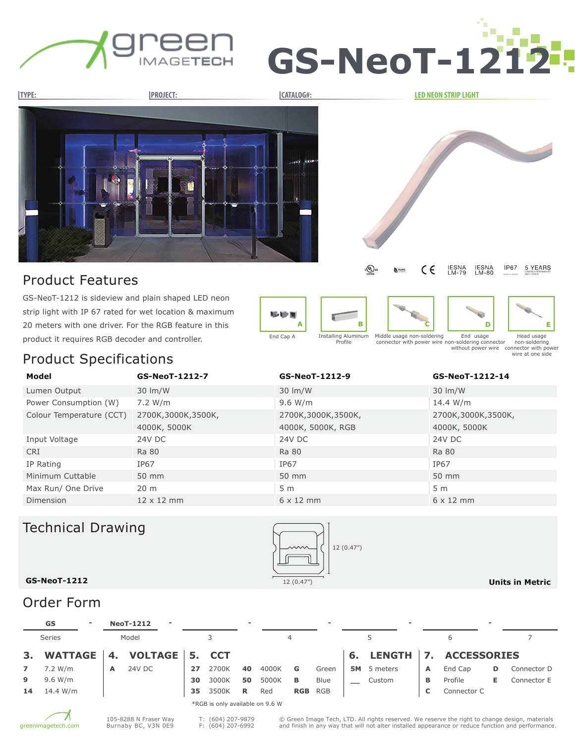





strip light with IP 67 rated for wet location & maximum 20 meters with one driver. For the RGB feature in this product it requires RGB decoder and controller. End Cap A











Middle usage non-soldering connector with power wire End usage non-soldering connector

Head usage non-soldering without power wire connector with power wire at one side

### Product Specifications

| Model                    | GS-NeoT-1212-7      | GS-NeoT-1212-9     | GS-NeoT-1212-14    |  |  |  |
|--------------------------|---------------------|--------------------|--------------------|--|--|--|
| Lumen Output             | $30 \, \text{Im/W}$ | 30 lm/W            | 30 lm/W            |  |  |  |
| Power Consumption (W)    | 7.2 W/m             | 9.6 W/m            | 14.4 W/m           |  |  |  |
| Colour Temperature (CCT) | 2700K,3000K,3500K,  | 2700K,3000K,3500K, | 2700K,3000K,3500K, |  |  |  |
|                          | 4000K, 5000K        | 4000K, 5000K, RGB  | 4000K, 5000K       |  |  |  |
| Input Voltage            | 24V DC              | 24V DC             | 24V DC             |  |  |  |
| <b>CRI</b>               | Ra 80               | <b>Ra 80</b>       | <b>Ra 80</b>       |  |  |  |
| IP Rating                | IP67                | IP67               | IP67               |  |  |  |
| Minimum Cuttable         | 50 mm               | 50 mm              | 50 mm              |  |  |  |
| Max Run/ One Drive       | 20 <sub>m</sub>     | 5 <sub>m</sub>     | 5 <sub>m</sub>     |  |  |  |
| Dimension                | $12 \times 12$ mm   | $6 \times 12$ mm   | $6 \times 12$ mm   |  |  |  |

# Technical Drawing



**Units in Metric**

#### **GS-NeoT-1212**

### Order Form

|                                 | GS             | $\overline{\phantom{a}}$ |    | <b>NeoT-1212</b> | $\overline{\phantom{0}}$ |    |       |    |       |            | $\sim$      | $\overline{\phantom{a}}$ |           |   |                | $\sim$ |             |
|---------------------------------|----------------|--------------------------|----|------------------|--------------------------|----|-------|----|-------|------------|-------------|--------------------------|-----------|---|----------------|--------|-------------|
|                                 | <b>Series</b>  | Model                    |    |                  |                          |    |       | 4  |       |            |             | 6                        |           |   |                |        |             |
| 3.                              | <b>WATTAGE</b> |                          | 4. | VOLTAGE 5. CCT   |                          |    |       |    |       |            |             |                          | 6. LENGTH |   | 7. ACCESSORIES |        |             |
|                                 | 7.2 W/m        |                          | A  | 24V DC           |                          | 27 | 2700K | 40 | 4000K | G          | Green       | 5M                       | 5 meters  | A | End Cap        | D.     | Connector D |
| 9                               | 9.6 W/m        |                          |    |                  |                          | 30 | 3000K | 50 | 5000K | в          | <b>Blue</b> |                          | Custom    | В | Profile        | Е.     | Connector E |
| 14                              | 14.4 W/m       |                          |    |                  |                          | 35 | 3500K | R  | Red   | <b>RGB</b> | <b>RGB</b>  |                          |           | C | Connector C    |        |             |
| *RGB is only available on 9.6 W |                |                          |    |                  |                          |    |       |    |       |            |             |                          |           |   |                |        |             |



T: (604) 207-9879 F: (604) 207-6992

© Green Image Tech, LTD. All rights reserved. We reserve the right to change design, materials and finish in any way that will not alter installed appearance or reduce function and performance.